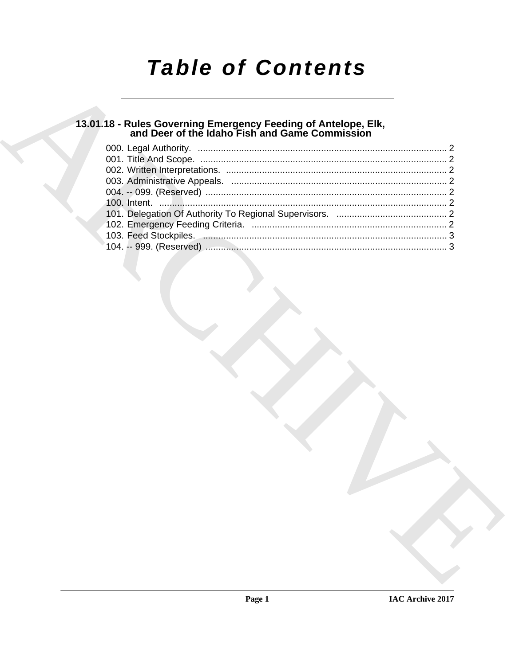# **Table of Contents**

### 13.01.18 - Rules Governing Emergency Feeding of Antelope, Elk,<br>and Deer of the Idaho Fish and Game Commission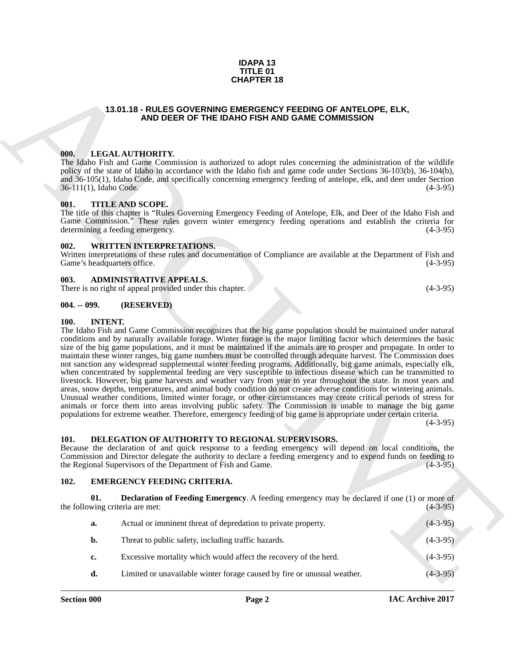#### **IDAPA 13 TITLE 01 CHAPTER 18**

### <span id="page-1-0"></span>**13.01.18 - RULES GOVERNING EMERGENCY FEEDING OF ANTELOPE, ELK, AND DEER OF THE IDAHO FISH AND GAME COMMISSION**

#### <span id="page-1-1"></span>**000. LEGAL AUTHORITY.**

The Idaho Fish and Game Commission is authorized to adopt rules concerning the administration of the wildlife policy of the state of Idaho in accordance with the Idaho fish and game code under Sections 36-103(b), 36-104(b), and 36-105(1), Idaho Code, and specifically concerning emergency feeding of antelope, elk, and deer under Section 36-111(1), Idaho Code. (4-3-95)

#### <span id="page-1-2"></span>**001. TITLE AND SCOPE.**

The title of this chapter is "Rules Governing Emergency Feeding of Antelope, Elk, and Deer of the Idaho Fish and Game Commission." These rules govern winter emergency feeding operations and establish the criteria for determining a feeding emergency. (4-3-95)

#### <span id="page-1-3"></span>**002. WRITTEN INTERPRETATIONS.**

Written interpretations of these rules and documentation of Compliance are available at the Department of Fish and Game's headquarters office. (4-3-95)

#### <span id="page-1-4"></span>**003. ADMINISTRATIVE APPEALS.**

There is no right of appeal provided under this chapter. (4-3-95)

#### <span id="page-1-5"></span>**004. -- 099. (RESERVED)**

#### <span id="page-1-11"></span><span id="page-1-6"></span>**100. INTENT.**

**CHAPTER 18**<br> **CHAPTER 18**<br> **ARCHIS COVERNMENTAL MODER OF THE IDAPI DESITY CONTRIBUTION OF ANTELOPE, ELK.<br>
THE IDAPI DENTIFICATION OF ANTELOPE COMMISSION<br>
(III), LEGAL ARTHORITY, the IDAPI DENTIFICATION COMMISSION (III),** The Idaho Fish and Game Commission recognizes that the big game population should be maintained under natural conditions and by naturally available forage. Winter forage is the major limiting factor which determines the basic size of the big game populations, and it must be maintained if the animals are to prosper and propagate. In order to maintain these winter ranges, big game numbers must be controlled through adequate harvest. The Commission does not sanction any widespread supplemental winter feeding programs. Additionally, big game animals, especially elk, when concentrated by supplemental feeding are very susceptible to infectious disease which can be transmitted to livestock. However, big game harvests and weather vary from year to year throughout the state. In most years and areas, snow depths, temperatures, and animal body condition do not create adverse conditions for wintering animals. Unusual weather conditions, limited winter forage, or other circumstances may create critical periods of stress for animals or force them into areas involving public safety. The Commission is unable to manage the big game populations for extreme weather. Therefore, emergency feeding of big game is appropriate under certain criteria.

 $(4-3-95)$ 

#### <span id="page-1-7"></span>**101. DELEGATION OF AUTHORITY TO REGIONAL SUPERVISORS.**

Because the declaration of and quick response to a feeding emergency will depend on local conditions, the Commission and Director delegate the authority to declare a feeding emergency and to expend funds on feeding to the Regional Supervisors of the Department of Fish and Game. (4-3-95)

#### <span id="page-1-9"></span><span id="page-1-8"></span>**102. EMERGENCY FEEDING CRITERIA.**

**01. Declaration of Feeding Emergency**. A feeding emergency may be declared if one (1) or more of wing criteria are met: (4-3-95) the following criteria are met:

<span id="page-1-10"></span>

| a. | Actual or imminent threat of depredation to private property.           | $(4-3-95)$ |
|----|-------------------------------------------------------------------------|------------|
| b. | Threat to public safety, including traffic hazards.                     | $(4-3-95)$ |
| c. | Excessive mortality which would affect the recovery of the herd.        | $(4-3-95)$ |
| d. | Limited or unavailable winter forage caused by fire or unusual weather. | $(4-3-95)$ |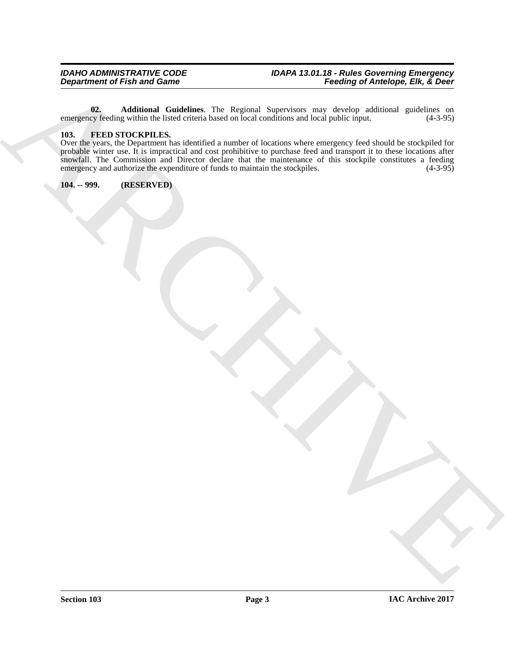<span id="page-2-2"></span>**02. Additional Guidelines**. The Regional Supervisors may develop additional guidelines on cy feeding within the listed criteria based on local conditions and local public input. (4-3-95) emergency feeding within the listed criteria based on local conditions and local public input.

#### <span id="page-2-3"></span><span id="page-2-0"></span>**103. FEED STOCKPILES.**

Department of Fish and Games . The fishest layer is reached to the state of the state of the fishes are determined to the first of the state of the state of the state of the state of the state of the state of the state of Over the years, the Department has identified a number of locations where emergency feed should be stockpiled for probable winter use. It is impractical and cost prohibitive to purchase feed and transport it to these locations after snowfall. The Commission and Director declare that the maintenance of this stockpile constitutes a feeding emergency and authorize the expenditure of funds to maintain the stockpiles. (4-3-95) emergency and authorize the expenditure of funds to maintain the stockpiles.

<span id="page-2-1"></span>**104. -- 999. (RESERVED)**